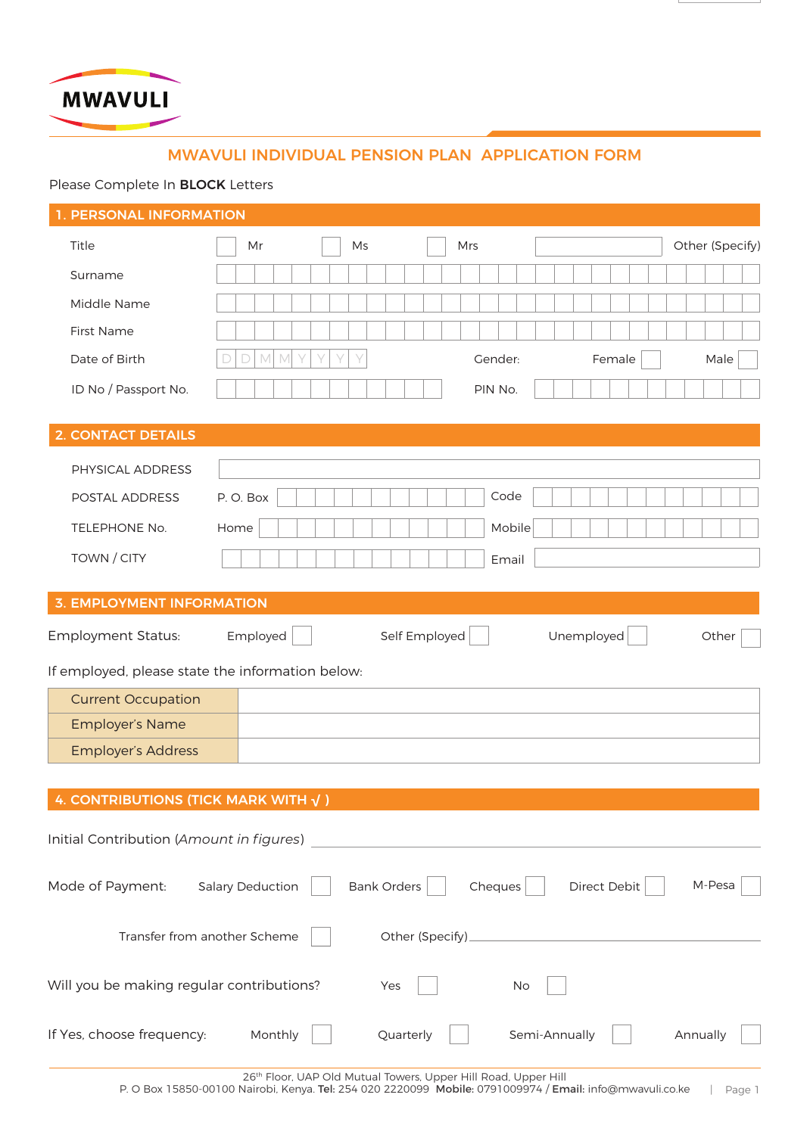

# MWAVULI INDIVIDUAL PENSION PLAN APPLICATION FORM

# Please Complete In BLOCK Letters

# 1. PERSONAL INFORMATION

| Title                                                         | Mr                                             | Ms                 | Mrs             |               | Other (Specify) |
|---------------------------------------------------------------|------------------------------------------------|--------------------|-----------------|---------------|-----------------|
| Surname                                                       |                                                |                    |                 |               |                 |
| Middle Name                                                   |                                                |                    |                 |               |                 |
| <b>First Name</b>                                             |                                                |                    |                 |               |                 |
| Date of Birth                                                 | $\mathbb M$<br>Y<br>$\Box$<br>$\mathbb M$<br>Y | Y                  | Gender:         | Female        | Male            |
| ID No / Passport No.                                          |                                                |                    | PIN No.         |               |                 |
|                                                               |                                                |                    |                 |               |                 |
| <b>2. CONTACT DETAILS</b>                                     |                                                |                    |                 |               |                 |
| PHYSICAL ADDRESS                                              |                                                |                    |                 |               |                 |
| POSTAL ADDRESS                                                | P.O. Box                                       |                    | Code            |               |                 |
| TELEPHONE No.                                                 | Home                                           |                    | Mobile          |               |                 |
| TOWN / CITY                                                   |                                                |                    | Email           |               |                 |
|                                                               |                                                |                    |                 |               |                 |
| <b>3. EMPLOYMENT INFORMATION</b>                              |                                                |                    |                 |               |                 |
| <b>Employment Status:</b>                                     | Employed                                       |                    | Self Employed   | Unemployed    | Other           |
| If employed, please state the information below:              |                                                |                    |                 |               |                 |
| <b>Current Occupation</b>                                     |                                                |                    |                 |               |                 |
| <b>Employer's Name</b>                                        |                                                |                    |                 |               |                 |
| <b>Employer's Address</b>                                     |                                                |                    |                 |               |                 |
|                                                               |                                                |                    |                 |               |                 |
| <b>4. CONTRIBUTIONS (TICK MARK WITH <math>\sqrt{}</math>)</b> |                                                |                    |                 |               |                 |
| Initial Contribution (Amount in figures)                      |                                                |                    |                 |               |                 |
|                                                               |                                                |                    |                 |               |                 |
| Mode of Payment:                                              | <b>Salary Deduction</b>                        | <b>Bank Orders</b> | Cheques         | Direct Debit  | M-Pesa          |
|                                                               |                                                |                    |                 |               |                 |
| Transfer from another Scheme                                  |                                                |                    | Other (Specify) |               |                 |
| Will you be making regular contributions?                     |                                                | Yes                | No              |               |                 |
| If Yes, choose frequency:                                     | Monthly                                        | Quarterly          |                 | Semi-Annually | Annually        |

26<sup>th</sup> Floor, UAP Old Mutual Towers, Upper Hill Road, Upper Hill

| Page 1 P. O Box 15850-00100 Nairobi, Kenya. Tel: 254 020 2220099 Mobile: 0791009974 / Email: info@mwavuli.co.ke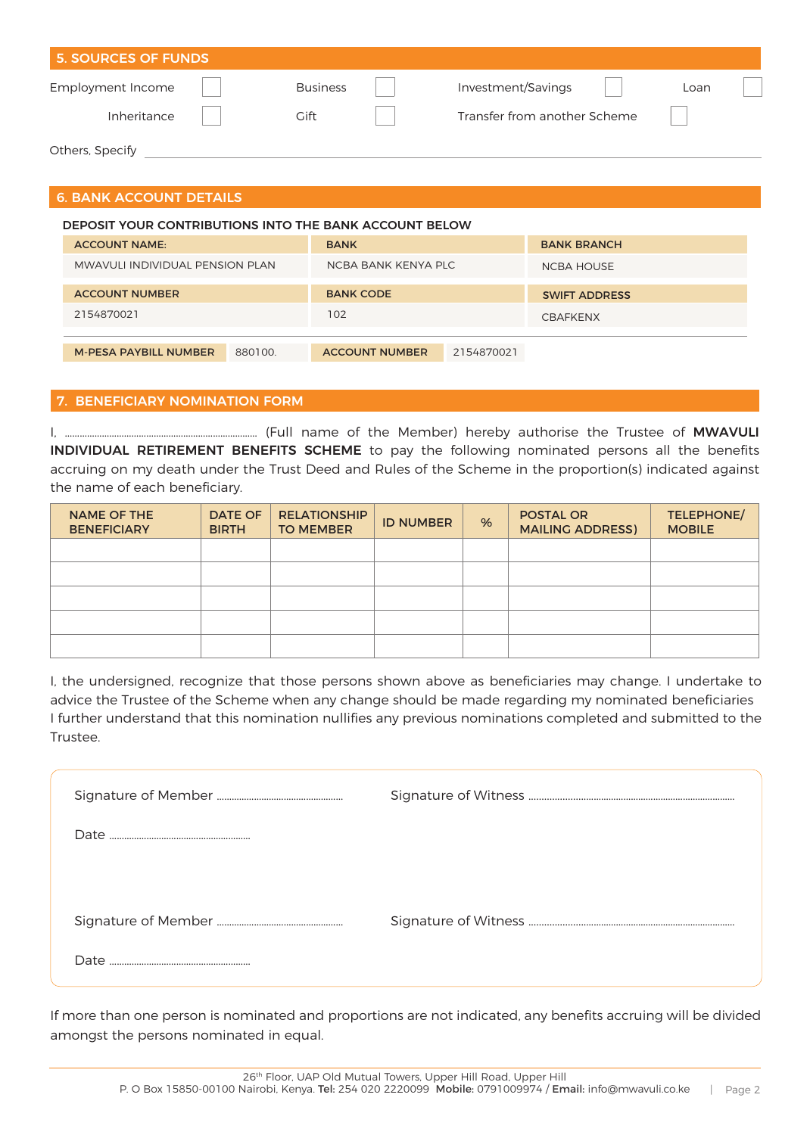| <b>5. SOURCES OF FUNDS</b> |                 |                              |      |
|----------------------------|-----------------|------------------------------|------|
| <b>Employment Income</b>   | <b>Business</b> | Investment/Savings           | Loan |
| Inheritance                | Gift            | Transfer from another Scheme |      |
| Others, Specify            |                 |                              |      |

# 6. BANK ACCOUNT DETAILS

| DEPOSIT YOUR CONTRIBUTIONS INTO THE BANK ACCOUNT BELOW |                                     |                      |  |  |  |
|--------------------------------------------------------|-------------------------------------|----------------------|--|--|--|
| <b>ACCOUNT NAME:</b>                                   | <b>BANK</b>                         | <b>BANK BRANCH</b>   |  |  |  |
| MWAVULI INDIVIDUAL PENSION PLAN                        | NCBA BANK KENYA PLC                 | <b>NCBA HOUSE</b>    |  |  |  |
| <b>ACCOUNT NUMBER</b>                                  | <b>BANK CODE</b>                    | <b>SWIFT ADDRESS</b> |  |  |  |
| 2154870021                                             | 102                                 | <b>CBAFKENX</b>      |  |  |  |
|                                                        |                                     |                      |  |  |  |
| <b>M-PESA PAYBILL NUMBER</b><br>880100                 | 2154870021<br><b>ACCOUNT NUMBER</b> |                      |  |  |  |

### 7. BENEFICIARY NOMINATION FORM

I, …………………………………………………………………… (Full name of the Member) hereby authorise the Trustee of MWAVULI INDIVIDUAL RETIREMENT BENEFITS SCHEME to pay the following nominated persons all the benefits accruing on my death under the Trust Deed and Rules of the Scheme in the proportion(s) indicated against the name of each beneficiary.

| <b>NAME OF THE</b><br><b>BENEFICIARY</b> | <b>DATE OF</b><br><b>BIRTH</b> | <b>RELATIONSHIP</b><br><b>TO MEMBER</b> | <b>ID NUMBER</b> | % | <b>POSTAL OR</b><br><b>MAILING ADDRESS)</b> | TELEPHONE/<br><b>MOBILE</b> |
|------------------------------------------|--------------------------------|-----------------------------------------|------------------|---|---------------------------------------------|-----------------------------|
|                                          |                                |                                         |                  |   |                                             |                             |
|                                          |                                |                                         |                  |   |                                             |                             |
|                                          |                                |                                         |                  |   |                                             |                             |
|                                          |                                |                                         |                  |   |                                             |                             |
|                                          |                                |                                         |                  |   |                                             |                             |

I, the undersigned, recognize that those persons shown above as beneficiaries may change. I undertake to advice the Trustee of the Scheme when any change should be made regarding my nominated beneficiaries I further understand that this nomination nullifies any previous nominations completed and submitted to the Trustee.

| Date |  |
|------|--|

If more than one person is nominated and proportions are not indicated, any benefits accruing will be divided amongst the persons nominated in equal.